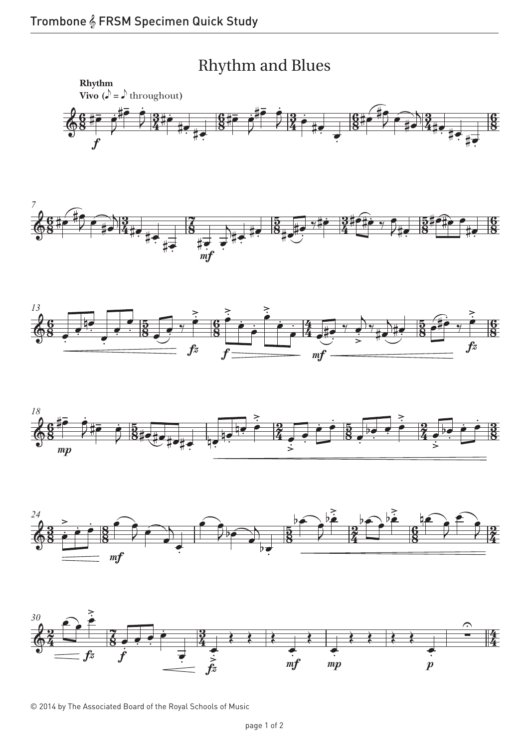









© 2014 by The Associated Board of the Royal Schools of Music